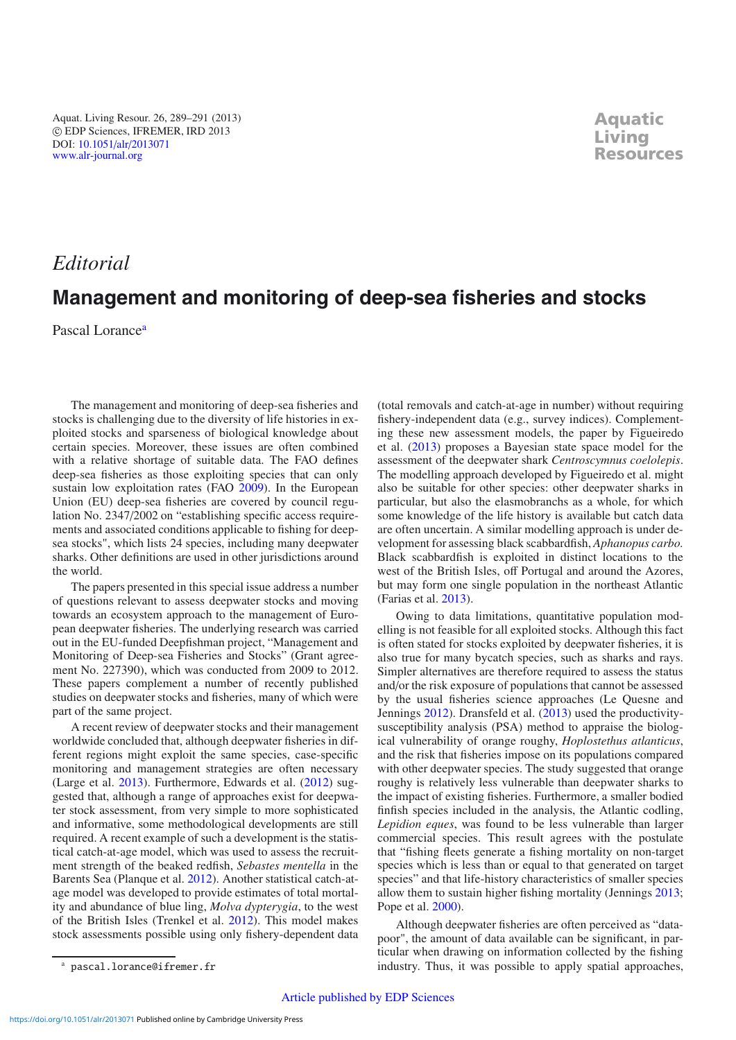Aquat. Living Resour. 26, 289–291 (2013) -c EDP Sciences, IFREMER, IRD 2013 DOI: 10.1051/alr/[2013071](http://dx.doi.org/10.1051/alr/2013071) [www.alr-journal.org](http://www.alr-journal.org)

## *Editorial*

## **Management and monitoring of deep-sea fisheries and stocks**

Pascal Lorance<sup>a</sup>

The management and monitoring of deep-sea fisheries and stocks is challenging due to the diversity of life histories in exploited stocks and sparseness of biological knowledge about certain species. Moreover, these issues are often combined with a relative shortage of suitable data. The FAO defines deep-sea fisheries as those exploiting species that can only sustain low exploitation rates (FAO [2009](#page-1-0)). In the European Union (EU) deep-sea fisheries are covered by council regulation No. 2347/2002 on "establishing specific access requirements and associated conditions applicable to fishing for deepsea stocks", which lists 24 species, including many deepwater sharks. Other definitions are used in other jurisdictions around the world.

The papers presented in this special issue address a number of questions relevant to assess deepwater stocks and moving towards an ecosystem approach to the management of European deepwater fisheries. The underlying research was carried out in the EU-funded Deepfishman project, "Management and Monitoring of Deep-sea Fisheries and Stocks" (Grant agreement No. 227390), which was conducted from 2009 to 2012. These papers complement a number of recently published studies on deepwater stocks and fisheries, many of which were part of the same project.

A recent review of deepwater stocks and their management worldwide concluded that, although deepwater fisheries in different regions might exploit the same species, case-specific monitoring and management strategies are often necessary (Large et al. [2013\)](#page-1-1). Furthermore, Edwards et al. [\(2012\)](#page-1-2) suggested that, although a range of approaches exist for deepwater stock assessment, from very simple to more sophisticated and informative, some methodological developments are still required. A recent example of such a development is the statistical catch-at-age model, which was used to assess the recruitment strength of the beaked redfish, *Sebastes mentella* in the Barents Sea (Planque et al. [2012\)](#page-1-3). Another statistical catch-atage model was developed to provide estimates of total mortality and abundance of blue ling, *Molva dypterygia*, to the west of the British Isles (Trenkel et al. [2012\)](#page-2-0). This model makes stock assessments possible using only fishery-dependent data (total removals and catch-at-age in number) without requiring fishery-independent data (e.g., survey indices). Complementing these new assessment models, the paper by Figueiredo et al. [\(2013\)](#page-1-4) proposes a Bayesian state space model for the assessment of the deepwater shark *Centroscymnus coelolepis*. The modelling approach developed by Figueiredo et al. might also be suitable for other species: other deepwater sharks in particular, but also the elasmobranchs as a whole, for which some knowledge of the life history is available but catch data are often uncertain. A similar modelling approach is under development for assessing black scabbardfish, *Aphanopus carbo.* Black scabbardfish is exploited in distinct locations to the west of the British Isles, off Portugal and around the Azores, but may form one single population in the northeast Atlantic (Farias et al. [2013](#page-1-5)).

Owing to data limitations, quantitative population modelling is not feasible for all exploited stocks. Although this fact is often stated for stocks exploited by deepwater fisheries, it is also true for many bycatch species, such as sharks and rays. Simpler alternatives are therefore required to assess the status and/or the risk exposure of populations that cannot be assessed by the usual fisheries science approaches (Le Quesne and Jennings [2012\)](#page-1-6). Dransfeld et al. [\(2013\)](#page-1-7) used the productivitysusceptibility analysis (PSA) method to appraise the biological vulnerability of orange roughy, *Hoplostethus atlanticus*, and the risk that fisheries impose on its populations compared with other deepwater species. The study suggested that orange roughy is relatively less vulnerable than deepwater sharks to the impact of existing fisheries. Furthermore, a smaller bodied finfish species included in the analysis, the Atlantic codling, *Lepidion eques*, was found to be less vulnerable than larger commercial species. This result agrees with the postulate that "fishing fleets generate a fishing mortality on non-target species which is less than or equal to that generated on target species" and that life-history characteristics of smaller species allow them to sustain higher fishing mortality (Jennings [2013;](#page-1-8) Pope et al. [2000\)](#page-1-9).

Although deepwater fisheries are often perceived as "datapoor", the amount of data available can be significant, in particular when drawing on information collected by the fishing industry. Thus, it was possible to apply spatial approaches,

<sup>a</sup> pascal.lorance@ifremer.fr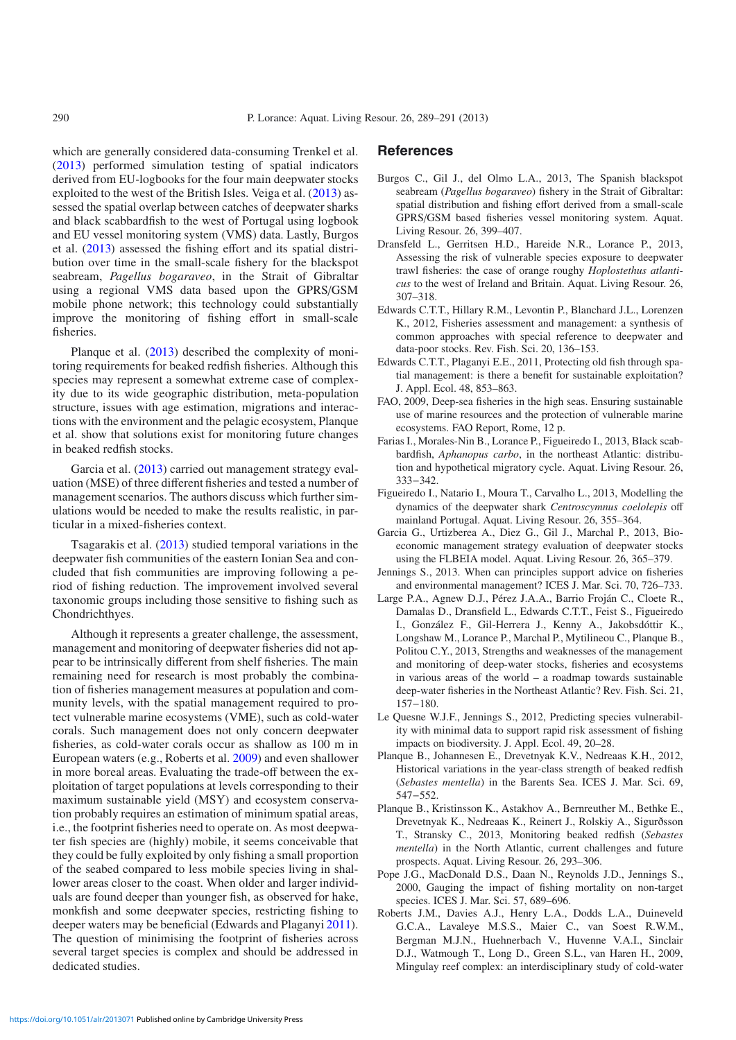which are generally considered data-consuming Trenkel et al. [\(2013\)](#page-2-1) performed simulation testing of spatial indicators derived from EU-logbooks for the four main deepwater stocks exploited to the west of the British Isles. Veiga et al. [\(2013\)](#page-2-2) assessed the spatial overlap between catches of deepwater sharks and black scabbardfish to the west of Portugal using logbook and EU vessel monitoring system (VMS) data. Lastly, Burgos et al. [\(2013\)](#page-1-10) assessed the fishing effort and its spatial distribution over time in the small-scale fishery for the blackspot seabream, *Pagellus bogaraveo*, in the Strait of Gibraltar using a regional VMS data based upon the GPRS/GSM mobile phone network; this technology could substantially improve the monitoring of fishing effort in small-scale fisheries.

Planque et al. [\(2013\)](#page-1-11) described the complexity of monitoring requirements for beaked redfish fisheries. Although this species may represent a somewhat extreme case of complexity due to its wide geographic distribution, meta-population structure, issues with age estimation, migrations and interactions with the environment and the pelagic ecosystem, Planque et al. show that solutions exist for monitoring future changes in beaked redfish stocks.

Garcia et al. [\(2013\)](#page-1-12) carried out management strategy evaluation (MSE) of three different fisheries and tested a number of management scenarios. The authors discuss which further simulations would be needed to make the results realistic, in particular in a mixed-fisheries context.

Tsagarakis et al. [\(2013\)](#page-2-3) studied temporal variations in the deepwater fish communities of the eastern Ionian Sea and concluded that fish communities are improving following a period of fishing reduction. The improvement involved several taxonomic groups including those sensitive to fishing such as Chondrichthyes.

Although it represents a greater challenge, the assessment, management and monitoring of deepwater fisheries did not appear to be intrinsically different from shelf fisheries. The main remaining need for research is most probably the combination of fisheries management measures at population and community levels, with the spatial management required to protect vulnerable marine ecosystems (VME), such as cold-water corals. Such management does not only concern deepwater fisheries, as cold-water corals occur as shallow as 100 m in European waters (e.g., Roberts et al. [2009\)](#page-1-13) and even shallower in more boreal areas. Evaluating the trade-off between the exploitation of target populations at levels corresponding to their maximum sustainable yield (MSY) and ecosystem conservation probably requires an estimation of minimum spatial areas, i.e., the footprint fisheries need to operate on. As most deepwater fish species are (highly) mobile, it seems conceivable that they could be fully exploited by only fishing a small proportion of the seabed compared to less mobile species living in shallower areas closer to the coast. When older and larger individuals are found deeper than younger fish, as observed for hake, monkfish and some deepwater species, restricting fishing to deeper waters may be beneficial (Edwards and Plaganyi [2011](#page-1-14)). The question of minimising the footprint of fisheries across several target species is complex and should be addressed in dedicated studies.

## **References**

- <span id="page-1-10"></span>Burgos C., Gil J., del Olmo L.A., 2013, The Spanish blackspot seabream (*Pagellus bogaraveo*) fishery in the Strait of Gibraltar: spatial distribution and fishing effort derived from a small-scale GPRS/GSM based fisheries vessel monitoring system. Aquat. Living Resour. 26, 399–407.
- <span id="page-1-7"></span>Dransfeld L., Gerritsen H.D., Hareide N.R., Lorance P., 2013, Assessing the risk of vulnerable species exposure to deepwater trawl fisheries: the case of orange roughy *Hoplostethus atlanticus* to the west of Ireland and Britain. Aquat. Living Resour. 26, 307–318.
- <span id="page-1-2"></span>Edwards C.T.T., Hillary R.M., Levontin P., Blanchard J.L., Lorenzen K., 2012, Fisheries assessment and management: a synthesis of common approaches with special reference to deepwater and data-poor stocks. Rev. Fish. Sci. 20, 136–153.
- <span id="page-1-14"></span>Edwards C.T.T., Plaganyi E.E., 2011, Protecting old fish through spatial management: is there a benefit for sustainable exploitation? J. Appl. Ecol. 48, 853–863.
- <span id="page-1-0"></span>FAO, 2009, Deep-sea fisheries in the high seas. Ensuring sustainable use of marine resources and the protection of vulnerable marine ecosystems. FAO Report, Rome, 12 p.
- <span id="page-1-5"></span>Farias I., Morales-Nin B., Lorance P., Figueiredo I., 2013, Black scabbardfish, *Aphanopus carbo*, in the northeast Atlantic: distribution and hypothetical migratory cycle. Aquat. Living Resour. 26, 333−342.
- <span id="page-1-4"></span>Figueiredo I., Natario I., Moura T., Carvalho L., 2013, Modelling the dynamics of the deepwater shark *Centroscymnus coelolepis* off mainland Portugal. Aquat. Living Resour. 26, 355–364.
- <span id="page-1-12"></span>Garcia G., Urtizberea A., Diez G., Gil J., Marchal P., 2013, Bioeconomic management strategy evaluation of deepwater stocks using the FLBEIA model. Aquat. Living Resour. 26, 365–379.
- <span id="page-1-8"></span>Jennings S., 2013. When can principles support advice on fisheries and environmental management? ICES J. Mar. Sci. 70, 726–733.
- <span id="page-1-1"></span>Large P.A., Agnew D.J., Pérez J.A.A., Barrio Froján C., Cloete R., Damalas D., Dransfield L., Edwards C.T.T., Feist S., Figueiredo I., González F., Gil-Herrera J., Kenny A., Jakobsdóttir K., Longshaw M., Lorance P., Marchal P., Mytilineou C., Planque B., Politou C.Y., 2013, Strengths and weaknesses of the management and monitoring of deep-water stocks, fisheries and ecosystems in various areas of the world – a roadmap towards sustainable deep-water fisheries in the Northeast Atlantic? Rev. Fish. Sci. 21, 157−180.
- <span id="page-1-6"></span>Le Quesne W.J.F., Jennings S., 2012, Predicting species vulnerability with minimal data to support rapid risk assessment of fishing impacts on biodiversity. J. Appl. Ecol. 49, 20–28.
- <span id="page-1-3"></span>Planque B., Johannesen E., Drevetnyak K.V., Nedreaas K.H., 2012, Historical variations in the year-class strength of beaked redfish (*Sebastes mentella*) in the Barents Sea. ICES J. Mar. Sci. 69, 547−552.
- <span id="page-1-11"></span>Planque B., Kristinsson K., Astakhov A., Bernreuther M., Bethke E., Drevetnyak K., Nedreaas K., Reinert J., Rolskiy A., Sigurðsson T., Stransky C., 2013, Monitoring beaked redfish (*Sebastes mentella*) in the North Atlantic, current challenges and future prospects. Aquat. Living Resour. 26, 293–306.
- <span id="page-1-9"></span>Pope J.G., MacDonald D.S., Daan N., Reynolds J.D., Jennings S., 2000, Gauging the impact of fishing mortality on non-target species. ICES J. Mar. Sci. 57, 689–696.
- <span id="page-1-13"></span>Roberts J.M., Davies A.J., Henry L.A., Dodds L.A., Duineveld G.C.A., Lavaleye M.S.S., Maier C., van Soest R.W.M., Bergman M.J.N., Huehnerbach V., Huvenne V.A.I., Sinclair D.J., Watmough T., Long D., Green S.L., van Haren H., 2009, Mingulay reef complex: an interdisciplinary study of cold-water